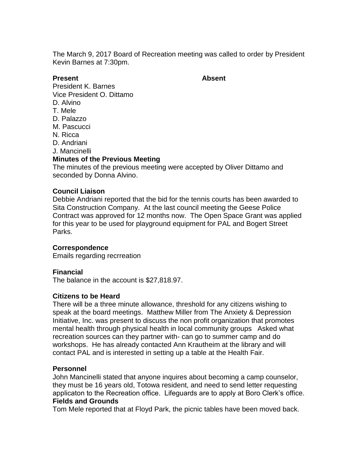The March 9, 2017 Board of Recreation meeting was called to order by President Kevin Barnes at 7:30pm.

#### **Present Absent**

President K. Barnes Vice President O. Dittamo

- D. Alvino
- T. Mele
- D. Palazzo
- M. Pascucci
- N. Ricca
- D. Andriani
- J. Mancinelli

# **Minutes of the Previous Meeting**

The minutes of the previous meeting were accepted by Oliver Dittamo and seconded by Donna Alvino.

### **Council Liaison**

Debbie Andriani reported that the bid for the tennis courts has been awarded to Sita Construction Company. At the last council meeting the Geese Police Contract was approved for 12 months now. The Open Space Grant was applied for this year to be used for playground equipment for PAL and Bogert Street Parks.

### **Correspondence**

Emails regarding recrreation

### **Financial**

The balance in the account is \$27,818.97.

### **Citizens to be Heard**

There will be a three minute allowance, threshold for any citizens wishing to speak at the board meetings. Matthew Miller from The Anxiety & Depression Initiative, Inc. was present to discuss the non profit organization that promotes mental health through physical health in local community groups Asked what recreation sources can they partner with- can go to summer camp and do workshops. He has already contacted Ann Krautheim at the library and will contact PAL and is interested in setting up a table at the Health Fair.

#### **Personnel**

John Mancinelli stated that anyone inquires about becoming a camp counselor, they must be 16 years old, Totowa resident, and need to send letter requesting applicaton to the Recreation office. Lifeguards are to apply at Boro Clerk's office. **Fields and Grounds**

Tom Mele reported that at Floyd Park, the picnic tables have been moved back.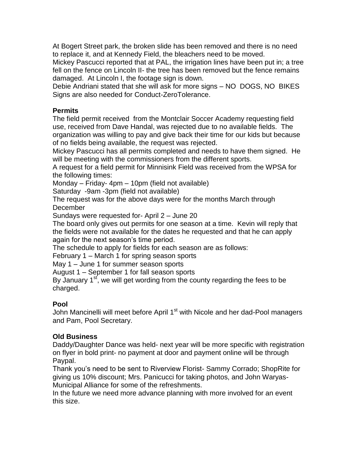At Bogert Street park, the broken slide has been removed and there is no need to replace it, and at Kennedy Field, the bleachers need to be moved.

Mickey Pascucci reported that at PAL, the irrigation lines have been put in; a tree fell on the fence on Lincoln II- the tree has been removed but the fence remains damaged. At Lincoln I, the footage sign is down.

Debie Andriani stated that she will ask for more signs – NO DOGS, NO BIKES Signs are also needed for Conduct-ZeroTolerance.

# **Permits**

The field permit received from the Montclair Soccer Academy requesting field use, received from Dave Handal, was rejected due to no available fields. The organization was willing to pay and give back their time for our kids but because of no fields being available, the request was rejected.

Mickey Pascucci has all permits completed and needs to have them signed. He will be meeting with the commissioners from the different sports.

A request for a field permit for Minnisink Field was received from the WPSA for the following times:

Monday – Friday- 4pm – 10pm (field not available)

Saturday -9am -3pm (field not available)

The request was for the above days were for the months March through December

Sundays were requested for- April 2 – June 20

The board only gives out permits for one season at a time. Kevin will reply that the fields were not available for the dates he requested and that he can apply again for the next season's time period.

The schedule to apply for fields for each season are as follows:

February 1 – March 1 for spring season sports

May 1 – June 1 for summer season sports

August 1 – September 1 for fall season sports

By January  $1<sup>st</sup>$ , we will get wording from the county regarding the fees to be charged.

# **Pool**

John Mancinelli will meet before April 1<sup>st</sup> with Nicole and her dad-Pool managers and Pam, Pool Secretary.

# **Old Business**

Daddy/Daughter Dance was held- next year will be more specific with registration on flyer in bold print- no payment at door and payment online will be through Paypal.

Thank you's need to be sent to Riverview Florist- Sammy Corrado; ShopRite for giving us 10% discount; Mrs. Panicucci for taking photos, and John Waryas-Municipal Alliance for some of the refreshments.

In the future we need more advance planning with more involved for an event this size.